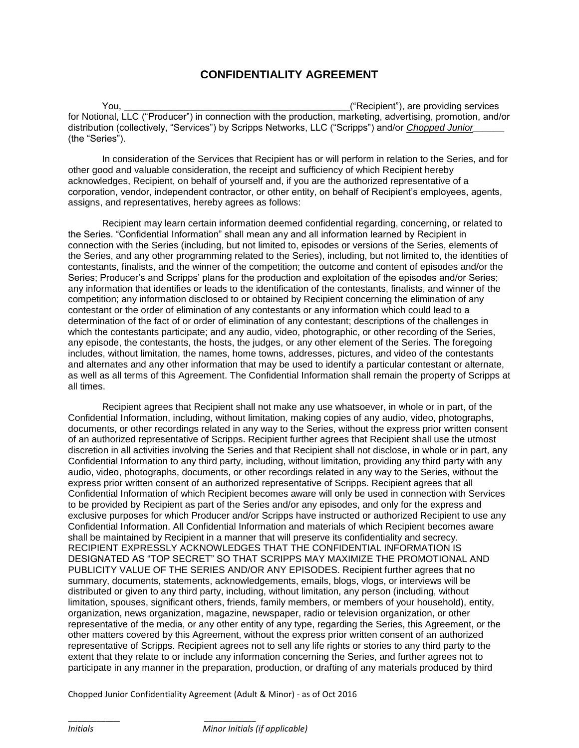## **CONFIDENTIALITY AGREEMENT**

You, the contract of the contract of the contract of the contract of the contract of the contract of the contract of the contract of the contract of the contract of the contract of the contract of the contract of the contr for Notional, LLC ("Producer") in connection with the production, marketing, advertising, promotion, and/or distribution (collectively, "Services") by Scripps Networks, LLC ("Scripps") and/or *Chopped Junior\_\_\_\_\_\_* (the "Series").

In consideration of the Services that Recipient has or will perform in relation to the Series, and for other good and valuable consideration, the receipt and sufficiency of which Recipient hereby acknowledges, Recipient, on behalf of yourself and, if you are the authorized representative of a corporation, vendor, independent contractor, or other entity, on behalf of Recipient's employees, agents, assigns, and representatives, hereby agrees as follows:

Recipient may learn certain information deemed confidential regarding, concerning, or related to the Series. "Confidential Information" shall mean any and all information learned by Recipient in connection with the Series (including, but not limited to, episodes or versions of the Series, elements of the Series, and any other programming related to the Series), including, but not limited to, the identities of contestants, finalists, and the winner of the competition; the outcome and content of episodes and/or the Series; Producer's and Scripps' plans for the production and exploitation of the episodes and/or Series; any information that identifies or leads to the identification of the contestants, finalists, and winner of the competition; any information disclosed to or obtained by Recipient concerning the elimination of any contestant or the order of elimination of any contestants or any information which could lead to a determination of the fact of or order of elimination of any contestant; descriptions of the challenges in which the contestants participate; and any audio, video, photographic, or other recording of the Series, any episode, the contestants, the hosts, the judges, or any other element of the Series. The foregoing includes, without limitation, the names, home towns, addresses, pictures, and video of the contestants and alternates and any other information that may be used to identify a particular contestant or alternate, as well as all terms of this Agreement. The Confidential Information shall remain the property of Scripps at all times.

Recipient agrees that Recipient shall not make any use whatsoever, in whole or in part, of the Confidential Information, including, without limitation, making copies of any audio, video, photographs, documents, or other recordings related in any way to the Series, without the express prior written consent of an authorized representative of Scripps. Recipient further agrees that Recipient shall use the utmost discretion in all activities involving the Series and that Recipient shall not disclose, in whole or in part, any Confidential Information to any third party, including, without limitation, providing any third party with any audio, video, photographs, documents, or other recordings related in any way to the Series, without the express prior written consent of an authorized representative of Scripps. Recipient agrees that all Confidential Information of which Recipient becomes aware will only be used in connection with Services to be provided by Recipient as part of the Series and/or any episodes, and only for the express and exclusive purposes for which Producer and/or Scripps have instructed or authorized Recipient to use any Confidential Information. All Confidential Information and materials of which Recipient becomes aware shall be maintained by Recipient in a manner that will preserve its confidentiality and secrecy. RECIPIENT EXPRESSLY ACKNOWLEDGES THAT THE CONFIDENTIAL INFORMATION IS DESIGNATED AS "TOP SECRET" SO THAT SCRIPPS MAY MAXIMIZE THE PROMOTIONAL AND PUBLICITY VALUE OF THE SERIES AND/OR ANY EPISODES. Recipient further agrees that no summary, documents, statements, acknowledgements, emails, blogs, vlogs, or interviews will be distributed or given to any third party, including, without limitation, any person (including, without limitation, spouses, significant others, friends, family members, or members of your household), entity, organization, news organization, magazine, newspaper, radio or television organization, or other representative of the media, or any other entity of any type, regarding the Series, this Agreement, or the other matters covered by this Agreement, without the express prior written consent of an authorized representative of Scripps. Recipient agrees not to sell any life rights or stories to any third party to the extent that they relate to or include any information concerning the Series, and further agrees not to participate in any manner in the preparation, production, or drafting of any materials produced by third

Chopped Junior Confidentiality Agreement (Adult & Minor) - as of Oct 2016

\_\_\_\_\_\_\_\_\_\_\_ \_\_\_\_\_\_\_\_\_\_\_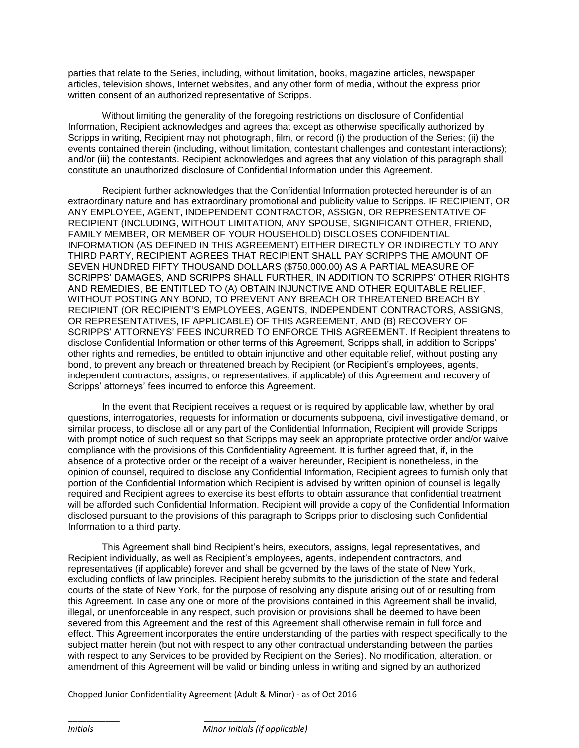parties that relate to the Series, including, without limitation, books, magazine articles, newspaper articles, television shows, Internet websites, and any other form of media, without the express prior written consent of an authorized representative of Scripps.

Without limiting the generality of the foregoing restrictions on disclosure of Confidential Information, Recipient acknowledges and agrees that except as otherwise specifically authorized by Scripps in writing, Recipient may not photograph, film, or record (i) the production of the Series; (ii) the events contained therein (including, without limitation, contestant challenges and contestant interactions); and/or (iii) the contestants. Recipient acknowledges and agrees that any violation of this paragraph shall constitute an unauthorized disclosure of Confidential Information under this Agreement.

Recipient further acknowledges that the Confidential Information protected hereunder is of an extraordinary nature and has extraordinary promotional and publicity value to Scripps. IF RECIPIENT, OR ANY EMPLOYEE, AGENT, INDEPENDENT CONTRACTOR, ASSIGN, OR REPRESENTATIVE OF RECIPIENT (INCLUDING, WITHOUT LIMITATION, ANY SPOUSE, SIGNIFICANT OTHER, FRIEND, FAMILY MEMBER, OR MEMBER OF YOUR HOUSEHOLD) DISCLOSES CONFIDENTIAL INFORMATION (AS DEFINED IN THIS AGREEMENT) EITHER DIRECTLY OR INDIRECTLY TO ANY THIRD PARTY, RECIPIENT AGREES THAT RECIPIENT SHALL PAY SCRIPPS THE AMOUNT OF SEVEN HUNDRED FIFTY THOUSAND DOLLARS (\$750,000.00) AS A PARTIAL MEASURE OF SCRIPPS' DAMAGES, AND SCRIPPS SHALL FURTHER, IN ADDITION TO SCRIPPS' OTHER RIGHTS AND REMEDIES, BE ENTITLED TO (A) OBTAIN INJUNCTIVE AND OTHER EQUITABLE RELIEF, WITHOUT POSTING ANY BOND, TO PREVENT ANY BREACH OR THREATENED BREACH BY RECIPIENT (OR RECIPIENT'S EMPLOYEES, AGENTS, INDEPENDENT CONTRACTORS, ASSIGNS, OR REPRESENTATIVES, IF APPLICABLE) OF THIS AGREEMENT, AND (B) RECOVERY OF SCRIPPS' ATTORNEYS' FEES INCURRED TO ENFORCE THIS AGREEMENT. If Recipient threatens to disclose Confidential Information or other terms of this Agreement, Scripps shall, in addition to Scripps' other rights and remedies, be entitled to obtain injunctive and other equitable relief, without posting any bond, to prevent any breach or threatened breach by Recipient (or Recipient's employees, agents, independent contractors, assigns, or representatives, if applicable) of this Agreement and recovery of Scripps' attorneys' fees incurred to enforce this Agreement.

In the event that Recipient receives a request or is required by applicable law, whether by oral questions, interrogatories, requests for information or documents subpoena, civil investigative demand, or similar process, to disclose all or any part of the Confidential Information, Recipient will provide Scripps with prompt notice of such request so that Scripps may seek an appropriate protective order and/or waive compliance with the provisions of this Confidentiality Agreement. It is further agreed that, if, in the absence of a protective order or the receipt of a waiver hereunder, Recipient is nonetheless, in the opinion of counsel, required to disclose any Confidential Information, Recipient agrees to furnish only that portion of the Confidential Information which Recipient is advised by written opinion of counsel is legally required and Recipient agrees to exercise its best efforts to obtain assurance that confidential treatment will be afforded such Confidential Information. Recipient will provide a copy of the Confidential Information disclosed pursuant to the provisions of this paragraph to Scripps prior to disclosing such Confidential Information to a third party.

This Agreement shall bind Recipient's heirs, executors, assigns, legal representatives, and Recipient individually, as well as Recipient's employees, agents, independent contractors, and representatives (if applicable) forever and shall be governed by the laws of the state of New York, excluding conflicts of law principles. Recipient hereby submits to the jurisdiction of the state and federal courts of the state of New York, for the purpose of resolving any dispute arising out of or resulting from this Agreement. In case any one or more of the provisions contained in this Agreement shall be invalid, illegal, or unenforceable in any respect, such provision or provisions shall be deemed to have been severed from this Agreement and the rest of this Agreement shall otherwise remain in full force and effect. This Agreement incorporates the entire understanding of the parties with respect specifically to the subject matter herein (but not with respect to any other contractual understanding between the parties with respect to any Services to be provided by Recipient on the Series). No modification, alteration, or amendment of this Agreement will be valid or binding unless in writing and signed by an authorized

Chopped Junior Confidentiality Agreement (Adult & Minor) - as of Oct 2016

\_\_\_\_\_\_\_\_\_\_\_ \_\_\_\_\_\_\_\_\_\_\_